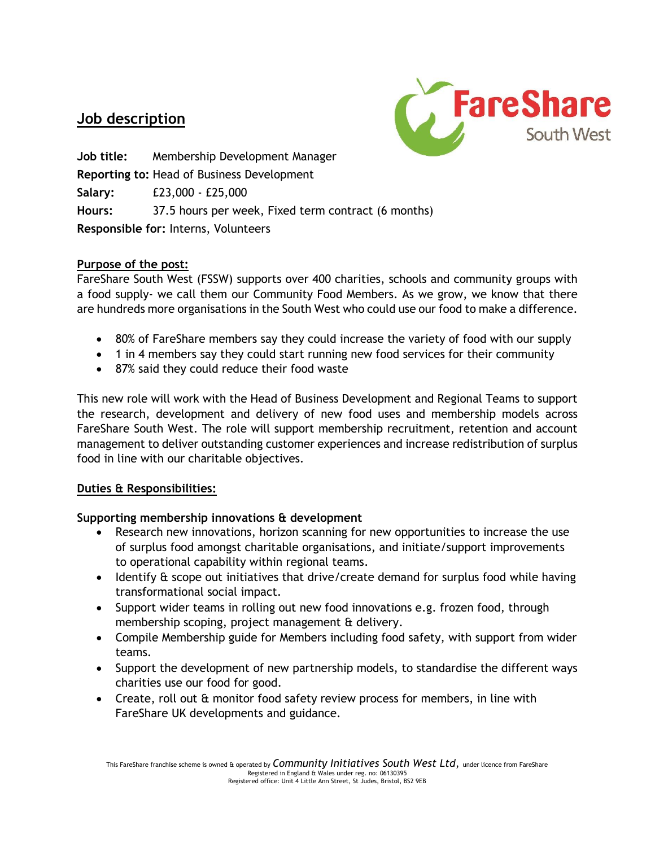# **Job description**



**Job title:** Membership Development Manager **Reporting to:** Head of Business Development **Salary:** £23,000 - £25,000 **Hours:** 37.5 hours per week, Fixed term contract (6 months) **Responsible for:** Interns, Volunteers

## **Purpose of the post:**

FareShare South West (FSSW) supports over 400 charities, schools and community groups with a food supply- we call them our Community Food Members. As we grow, we know that there are hundreds more organisations in the South West who could use our food to make a difference.

- 80% of FareShare members say they could increase the variety of food with our supply
- 1 in 4 members say they could start running new food services for their community
- 87% said they could reduce their food waste

This new role will work with the Head of Business Development and Regional Teams to support the research, development and delivery of new food uses and membership models across FareShare South West. The role will support membership recruitment, retention and account management to deliver outstanding customer experiences and increase redistribution of surplus food in line with our charitable objectives.

## **Duties & Responsibilities:**

## **Supporting membership innovations & development**

- Research new innovations, horizon scanning for new opportunities to increase the use of surplus food amongst charitable organisations, and initiate/support improvements to operational capability within regional teams.
- Identify & scope out initiatives that drive/create demand for surplus food while having transformational social impact.
- Support wider teams in rolling out new food innovations e.g. frozen food, through membership scoping, project management & delivery.
- Compile Membership guide for Members including food safety, with support from wider teams.
- Support the development of new partnership models, to standardise the different ways charities use our food for good.
- Create, roll out & monitor food safety review process for members, in line with FareShare UK developments and guidance.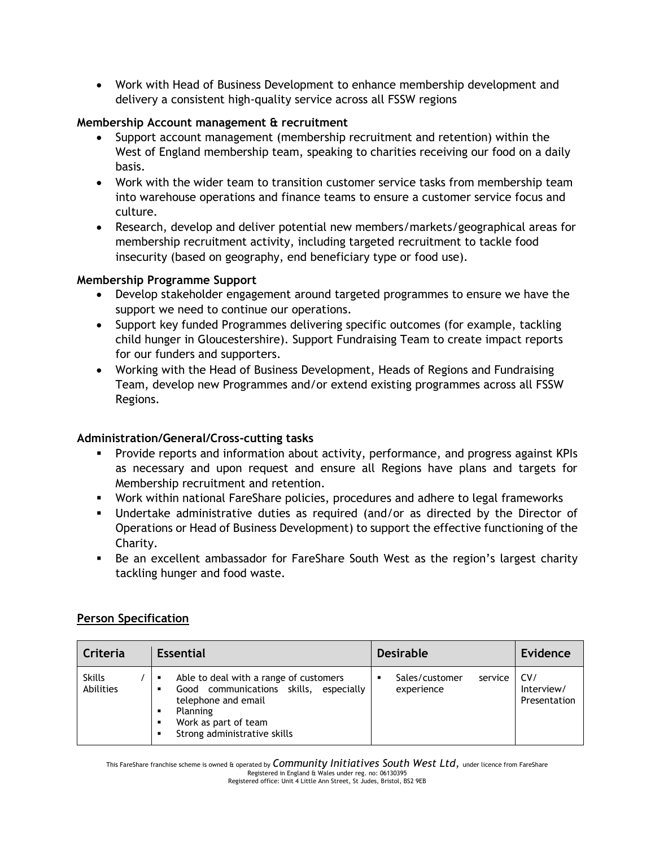• Work with Head of Business Development to enhance membership development and delivery a consistent high-quality service across all FSSW regions

### **Membership Account management & recruitment**

- Support account management (membership recruitment and retention) within the West of England membership team, speaking to charities receiving our food on a daily basis.
- Work with the wider team to transition customer service tasks from membership team into warehouse operations and finance teams to ensure a customer service focus and culture.
- Research, develop and deliver potential new members/markets/geographical areas for membership recruitment activity, including targeted recruitment to tackle food insecurity (based on geography, end beneficiary type or food use).

### **Membership Programme Support**

- Develop stakeholder engagement around targeted programmes to ensure we have the support we need to continue our operations.
- Support key funded Programmes delivering specific outcomes (for example, tackling child hunger in Gloucestershire). Support Fundraising Team to create impact reports for our funders and supporters.
- Working with the Head of Business Development, Heads of Regions and Fundraising Team, develop new Programmes and/or extend existing programmes across all FSSW Regions.

## **Administration/General/Cross-cutting tasks**

- Provide reports and information about activity, performance, and progress against KPIs as necessary and upon request and ensure all Regions have plans and targets for Membership recruitment and retention.
- Work within national FareShare policies, procedures and adhere to legal frameworks
- Undertake administrative duties as required (and/or as directed by the Director of Operations or Head of Business Development) to support the effective functioning of the Charity.
- Be an excellent ambassador for FareShare South West as the region's largest charity tackling hunger and food waste.

#### **Person Specification**

| Criteria                   | <b>Essential</b>                                                                                                                                                                           | <b>Desirable</b>                        | <b>Evidence</b>                   |
|----------------------------|--------------------------------------------------------------------------------------------------------------------------------------------------------------------------------------------|-----------------------------------------|-----------------------------------|
| <b>Skills</b><br>Abilities | Able to deal with a range of customers<br>Good communications skills, especially<br>telephone and email<br>Planning<br>٠<br>Work as part of team<br>٠<br>Strong administrative skills<br>٠ | Sales/customer<br>service<br>experience | CV/<br>Interview/<br>Presentation |

This FareShare franchise scheme is owned & operated by *Community Initiatives South West Ltd*, under licence from FareShare Registered in England & Wales under reg. no: 06130395 Registered office: Unit 4 Little Ann Street, St Judes, Bristol, BS2 9EB